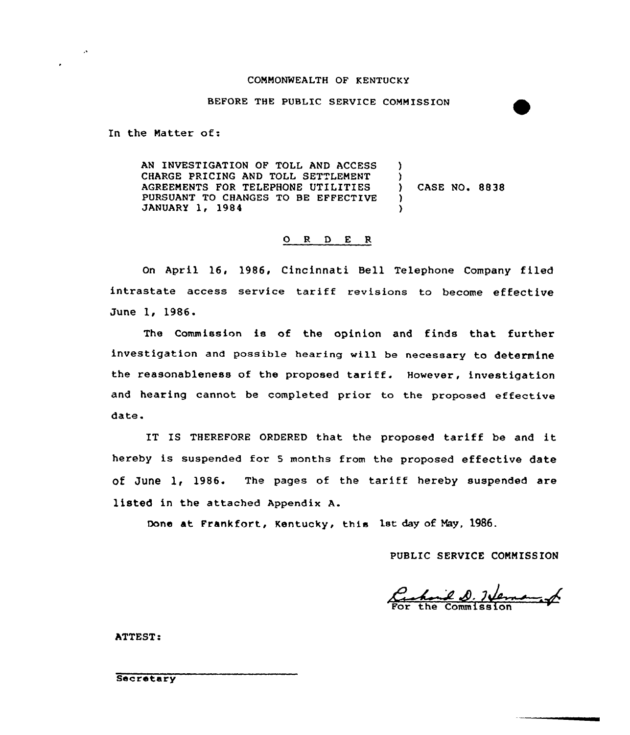#### CONNONWEALTH OF KENTUCKY

### BEFORE THE PUBLIC SERVICE COMM ISSION

In the Natter of:

 $\mathcal{L}$ 

AN INVESTIGATION OF TOLL AND ACCESS CHARGE PRICING AND TOLL SETTLENENT AGREENENTS FOR TELEPHONE UTILITIES PURSUANT TO CHANGES TO BE EFFECTIVE JANUARY 1, 1984  $\lambda$  $\left\{ \right\}$ ) CASE NO. 88 38 )  $\lambda$ 

### O R D E R

On April 16, 1986, Cincinnati Bell Telephone Company filed intrastate access service tariff revisions to become effective June 1, 1986.

The Commission is of the opinion and finds that further investigation and possible hearing will be necessary to determine the reasonableness of the proposed tariff. However, investigation and hearing cannot be completed prior to the proposed effective date.

IT IS THEREFORE ORDERED that the proposed tariff be and it hereby is suspended for <sup>5</sup> months from the proposed effective date of June  $1, 1986.$  The pages of the tariff hereby suspended are listed in the attached Appendix A.

Done at Frankfort, Kentucky, this lst day of Nay, 1986.

PUBLIC SERVICE CONNISS ION

S.7M=—.M For the Commission

ATTEST:

**Secretary**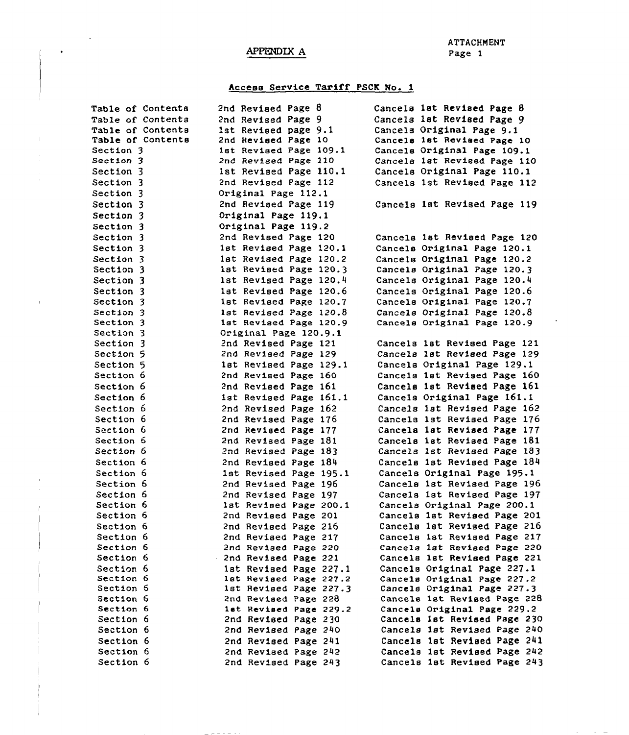# APPENDIX A

 $\bar{1}$ 

and the state of

## Access Service Tariff PSCK Wo. 1

| <b>Table of Contents</b> | 2nd Revised Page 8     | Cancels 1st Revised Page 8   |
|--------------------------|------------------------|------------------------------|
| Table of Contents        | 2nd Revised Page 9     | Cancels 1st Revised Page 9   |
| Table of Contents        | 1st Revised page 9.1   | Cancels Original Page 9.1    |
| Table of Contents        | 2nd Revised Page 10    | Cancels 1st Revised Page 10  |
| Section 3                | 1st Revised Page 109.1 | Cancels Original Page 109.1  |
| Section 3                | 2nd Revised Page 110   | Cancels 1st Revised Page 110 |
| Section 3                | 1st Revised Page 110.1 | Cancels Original Page 110.1  |
| Section 3                | 2nd Revised Page 112   | Cancels 1st Revised Page 112 |
| Section 3                | Original Page 112.1    |                              |
| Section 3                | 2nd Revised Page 119   | Cancels 1st Revised Page 119 |
| Section 3                | Original Page 119.1    |                              |
| Section 3                | Original Page 119.2    |                              |
| <b>Section 3</b>         | 2nd Revised Page 120   | Cancels 1st Revised Page 120 |
| <b>Section 3</b>         | 1st Revised Page 120.1 | Cancels Original Page 120.1  |
| <b>Section 3</b>         | 1st Revised Page 120.2 | Cancels Original Page 120.2  |
| <b>Section 3</b>         | 1st Revised Page 120.3 | Cancels Original Page 120.3  |
| <b>Section 3</b>         | 1st Revised Page 120.4 | Cancels Original Page 120.4  |
| Section 3                | 1st Revised Page 120.6 | Cancels Original Page 120.6  |
| Section 3                | 1st Revised Page 120.7 | Cancels Original Page 120.7  |
| Section 3                | 1st Revised Page 120.8 | Cancels Original Page 120.8  |
| Section 3                | 1st Revised Page 120.9 | Cancels Original Page 120.9  |
| Section 3                | Original Page 120.9.1  |                              |
| <b>Section 3</b>         | 2nd Revised Page 121   | Cancels 1st Revised Page 121 |
| Section 5                | 2nd Revised Page 129   | Cancels 1st Revised Page 129 |
| Section 5                | 1st Revised Page 129.1 | Cancels Original Page 129.1  |
| <b>Section 6</b>         | 2nd Revised Page 160   | Cancels 1st Revised Page 160 |
| <b>Section 6</b>         | 2nd Revised Page 161   | Cancels 1st Revised Page 161 |
| <b>Section 6</b>         | 1st Revised Page 161.1 | Cancels Original Page 161.1  |
| Section 6                | 2nd Revised Page 162   | Cancels 1st Revised Page 162 |
| Section 6                | 2nd Revised Page 176   | Cancels 1st Revised Page 176 |
| Section 6                | 2nd Revised Page 177   | Cancels 1st Revised Page 177 |
| Section 6                | 2nd Revised Page 181   | Cancels 1st Revised Page 181 |
| Section 6                | 2nd Revised Page 183   | Cancels 1st Revised Page 183 |
| Section 6                | 2nd Revised Page 184   | Cancels 1st Revised Page 184 |
| Section 6                | 1st Revised Page 195.1 | Cancels Original Page 195.1  |
| <b>Section 6</b>         | 2nd Revised Page 196   | Cancels 1st Revised Page 196 |
| Section 6                | 2nd Revised Page 197   | Cancels 1st Revised Page 197 |
| Section 6                | 1st Revised Page 200.1 | Cancels Original Page 200.1  |
| Section 6                | 2nd Revised Page 201   | Cancels 1st Revised Page 201 |
| Section 6                | 2nd Revised Page 216   | Cancels 1st Revised Page 216 |
| Section 6                | 2nd Revised Page 217   | Cancels 1st Revised Page 217 |
| Section 6                | 2nd Revised Page 220   | Cancels 1st Revised Page 220 |
| Section 6                | 2nd Revised Page 221   | Cancels 1st Revised Page 221 |
| Section 6                | 1st Revised Page 227.1 | Cancels Original Page 227.1  |
| <b>Section 6</b>         | 1st Revised Page 227.2 | Cancels Original Page 227.2  |
| Section 6                | 1st Revised Page 227.3 | Cancels Original Page 227.3  |
| Section 6                | 2nd Revised Page 228   | Cancels 1st Revised Page 228 |
| Section 6                | lat Revised Page 229.2 | Cancels Original Page 229.2  |
| Section 6                | 2nd Revised Page 230   | Cancels 1st Revised Page 230 |
| Section 6                | 2nd Revised Page 240   | Cancels 1st Revised Page 240 |
| Section 6                | 2nd Revised Page 241   | Cancels 1st Revised Page 241 |
| Section 6                | 2nd Revised Page 242   | Cancels 1st Revised Page 242 |
| Section 6                | 2nd Revised Page 243   | Cancels 1st Revised Page 243 |

 $\frac{1}{2} \frac{1}{2} \frac{1}{2} \frac{1}{2} \frac{1}{2} \frac{1}{2} \frac{1}{2} \frac{1}{2} \frac{1}{2} \frac{1}{2} \frac{1}{2} \frac{1}{2} \frac{1}{2}$